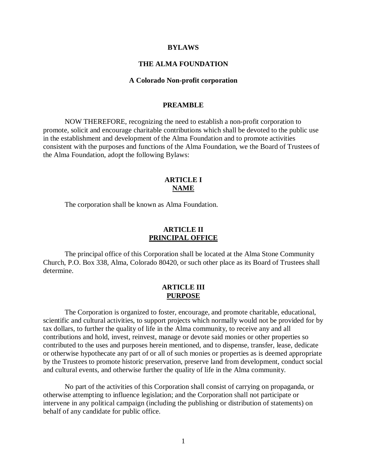#### **BYLAWS**

### **THE ALMA FOUNDATION**

#### **A Colorado Non-profit corporation**

#### **PREAMBLE**

 NOW THEREFORE, recognizing the need to establish a non-profit corporation to promote, solicit and encourage charitable contributions which shall be devoted to the public use in the establishment and development of the Alma Foundation and to promote activities consistent with the purposes and functions of the Alma Foundation, we the Board of Trustees of the Alma Foundation, adopt the following Bylaws:

# **ARTICLE I NAME**

The corporation shall be known as Alma Foundation.

#### **ARTICLE II PRINCIPAL OFFICE**

 The principal office of this Corporation shall be located at the Alma Stone Community Church, P.O. Box 338, Alma, Colorado 80420, or such other place as its Board of Trustees shall determine.

# **ARTICLE III PURPOSE**

 The Corporation is organized to foster, encourage, and promote charitable, educational, scientific and cultural activities, to support projects which normally would not be provided for by tax dollars, to further the quality of life in the Alma community, to receive any and all contributions and hold, invest, reinvest, manage or devote said monies or other properties so contributed to the uses and purposes herein mentioned, and to dispense, transfer, lease, dedicate or otherwise hypothecate any part of or all of such monies or properties as is deemed appropriate by the Trustees to promote historic preservation, preserve land from development, conduct social and cultural events, and otherwise further the quality of life in the Alma community.

 No part of the activities of this Corporation shall consist of carrying on propaganda, or otherwise attempting to influence legislation; and the Corporation shall not participate or intervene in any political campaign (including the publishing or distribution of statements) on behalf of any candidate for public office.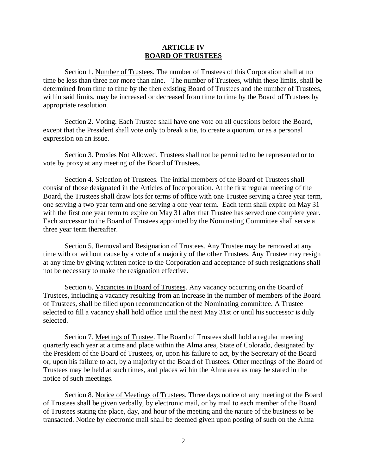#### **ARTICLE IV BOARD OF TRUSTEES**

 Section 1. Number of Trustees. The number of Trustees of this Corporation shall at no time be less than three nor more than nine. The number of Trustees, within these limits, shall be determined from time to time by the then existing Board of Trustees and the number of Trustees, within said limits, may be increased or decreased from time to time by the Board of Trustees by appropriate resolution.

 Section 2. Voting. Each Trustee shall have one vote on all questions before the Board, except that the President shall vote only to break a tie, to create a quorum, or as a personal expression on an issue.

 Section 3. Proxies Not Allowed. Trustees shall not be permitted to be represented or to vote by proxy at any meeting of the Board of Trustees.

 Section 4. Selection of Trustees. The initial members of the Board of Trustees shall consist of those designated in the Articles of Incorporation. At the first regular meeting of the Board, the Trustees shall draw lots for terms of office with one Trustee serving a three year term, one serving a two year term and one serving a one year term. Each term shall expire on May 31 with the first one year term to expire on May 31 after that Trustee has served one complete year. Each successor to the Board of Trustees appointed by the Nominating Committee shall serve a three year term thereafter.

Section 5. Removal and Resignation of Trustees. Any Trustee may be removed at any time with or without cause by a vote of a majority of the other Trustees. Any Trustee may resign at any time by giving written notice to the Corporation and acceptance of such resignations shall not be necessary to make the resignation effective.

 Section 6. Vacancies in Board of Trustees. Any vacancy occurring on the Board of Trustees, including a vacancy resulting from an increase in the number of members of the Board of Trustees, shall be filled upon recommendation of the Nominating committee. A Trustee selected to fill a vacancy shall hold office until the next May 31st or until his successor is duly selected.

 Section 7. Meetings of Trustee. The Board of Trustees shall hold a regular meeting quarterly each year at a time and place within the Alma area, State of Colorado, designated by the President of the Board of Trustees, or, upon his failure to act, by the Secretary of the Board or, upon his failure to act, by a majority of the Board of Trustees. Other meetings of the Board of Trustees may be held at such times, and places within the Alma area as may be stated in the notice of such meetings.

 Section 8. Notice of Meetings of Trustees. Three days notice of any meeting of the Board of Trustees shall be given verbally, by electronic mail, or by mail to each member of the Board of Trustees stating the place, day, and hour of the meeting and the nature of the business to be transacted. Notice by electronic mail shall be deemed given upon posting of such on the Alma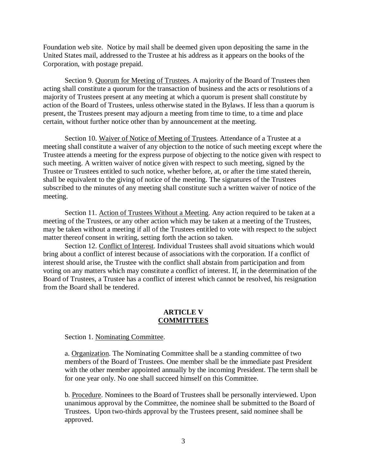Foundation web site. Notice by mail shall be deemed given upon depositing the same in the United States mail, addressed to the Trustee at his address as it appears on the books of the Corporation, with postage prepaid.

 Section 9. Quorum for Meeting of Trustees. A majority of the Board of Trustees then acting shall constitute a quorum for the transaction of business and the acts or resolutions of a majority of Trustees present at any meeting at which a quorum is present shall constitute by action of the Board of Trustees, unless otherwise stated in the Bylaws. If less than a quorum is present, the Trustees present may adjourn a meeting from time to time, to a time and place certain, without further notice other than by announcement at the meeting.

 Section 10. Waiver of Notice of Meeting of Trustees. Attendance of a Trustee at a meeting shall constitute a waiver of any objection to the notice of such meeting except where the Trustee attends a meeting for the express purpose of objecting to the notice given with respect to such meeting. A written waiver of notice given with respect to such meeting, signed by the Trustee or Trustees entitled to such notice, whether before, at, or after the time stated therein, shall be equivalent to the giving of notice of the meeting. The signatures of the Trustees subscribed to the minutes of any meeting shall constitute such a written waiver of notice of the meeting.

 Section 11. Action of Trustees Without a Meeting. Any action required to be taken at a meeting of the Trustees, or any other action which may be taken at a meeting of the Trustees, may be taken without a meeting if all of the Trustees entitled to vote with respect to the subject matter thereof consent in writing, setting forth the action so taken.

 Section 12. Conflict of Interest. Individual Trustees shall avoid situations which would bring about a conflict of interest because of associations with the corporation. If a conflict of interest should arise, the Trustee with the conflict shall abstain from participation and from voting on any matters which may constitute a conflict of interest. If, in the determination of the Board of Trustees, a Trustee has a conflict of interest which cannot be resolved, his resignation from the Board shall be tendered.

### **ARTICLE V COMMITTEES**

Section 1. Nominating Committee.

a. Organization. The Nominating Committee shall be a standing committee of two members of the Board of Trustees. One member shall be the immediate past President with the other member appointed annually by the incoming President. The term shall be for one year only. No one shall succeed himself on this Committee.

b. Procedure. Nominees to the Board of Trustees shall be personally interviewed. Upon unanimous approval by the Committee, the nominee shall be submitted to the Board of Trustees. Upon two-thirds approval by the Trustees present, said nominee shall be approved.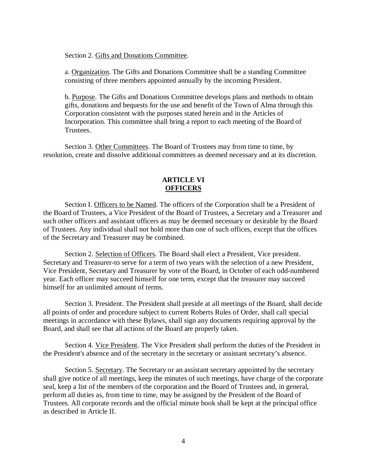Section 2. Gifts and Donations Committee.

a. Organization. The Gifts and Donations Committee shall be a standing Committee consisting of three members appointed annually by the incoming President.

b. Purpose. The Gifts and Donations Committee develops plans and methods to obtain gifts, donations and bequests for the use and benefit of the Town of Alma through this Corporation consistent with the purposes stated herein and in the Articles of Incorporation. This committee shall bring a report to each meeting of the Board of **Trustees.** 

 Section 3. Other Committees. The Board of Trustees may from time to time, by resolution, create and dissolve additional committees as deemed necessary and at its discretion.

# **ARTICLE VI OFFICERS**

Section I. Officers to be Named. The officers of the Corporation shall be a President of the Board of Trustees, a Vice President of the Board of Trustees, a Secretary and a Treasurer and such other officers and assistant officers as may be deemed necessary or desirable by the Board of Trustees. Any individual shall not hold more than one of such offices, except that the offices of the Secretary and Treasurer may be combined.

 Section 2. Selection of Officers. The Board shall elect a President, Vice president. Secretary and Treasurer-to serve for a term of two years with the selection of a new President, Vice President, Secretary and Treasurer by vote of the Board, in October of each odd-numbered year. Each officer may succeed himself for one term, except that the treasurer may succeed himself for an unlimited amount of terms.

 Section 3. President. The President shall preside at all meetings of the Board, shall decide all points of order and procedure subject to current Roberts Rules of Order, shall call special meetings in accordance with these Bylaws, shall sign any documents requiring approval by the Board, and shall see that all actions of the Board are properly taken.

 Section 4. Vice President. The Vice President shall perform the duties of the President in the President's absence and of the secretary in the secretary or assistant secretary's absence.

 Section 5. Secretary. The Secretary or an assistant secretary appointed by the secretary shall give notice of all meetings, keep the minutes of such meetings, have charge of the corporate seal, keep a list of the members of the corporation and the Board of Trustees and, in general, perform all duties as, from time to time, may be assigned by the President of the Board of Trustees. All corporate records and the official minute book shall be kept at the principal office as described in Article II.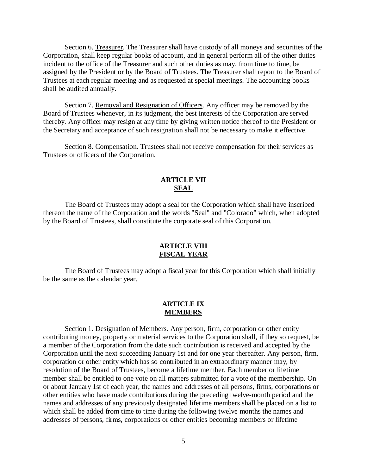Section 6. Treasurer. The Treasurer shall have custody of all moneys and securities of the Corporation, shall keep regular books of account, and in general perform all of the other duties incident to the office of the Treasurer and such other duties as may, from time to time, be assigned by the President or by the Board of Trustees. The Treasurer shall report to the Board of Trustees at each regular meeting and as requested at special meetings. The accounting books shall be audited annually.

 Section 7. Removal and Resignation of Officers. Any officer may be removed by the Board of Trustees whenever, in its judgment, the best interests of the Corporation are served thereby. Any officer may resign at any time by giving written notice thereof to the President or the Secretary and acceptance of such resignation shall not be necessary to make it effective.

 Section 8. Compensation. Trustees shall not receive compensation for their services as Trustees or officers of the Corporation.

# **ARTICLE VII SEAL**

 The Board of Trustees may adopt a seal for the Corporation which shall have inscribed thereon the name of the Corporation and the words "Seal" and "Colorado" which, when adopted by the Board of Trustees, shall constitute the corporate seal of this Corporation.

### **ARTICLE VIII FISCAL YEAR**

 The Board of Trustees may adopt a fiscal year for this Corporation which shall initially be the same as the calendar year.

# **ARTICLE IX MEMBERS**

Section 1. Designation of Members. Any person, firm, corporation or other entity contributing money, property or material services to the Corporation shall, if they so request, be a member of the Corporation from the date such contribution is received and accepted by the Corporation until the next succeeding January 1st and for one year thereafter. Any person, firm, corporation or other entity which has so contributed in an extraordinary manner may, by resolution of the Board of Trustees, become a lifetime member. Each member or lifetime member shall be entitled to one vote on all matters submitted for a vote of the membership. On or about January 1st of each year, the names and addresses of all persons, firms, corporations or other entities who have made contributions during the preceding twelve-month period and the names and addresses of any previously designated lifetime members shall be placed on a list to which shall be added from time to time during the following twelve months the names and addresses of persons, firms, corporations or other entities becoming members or lifetime